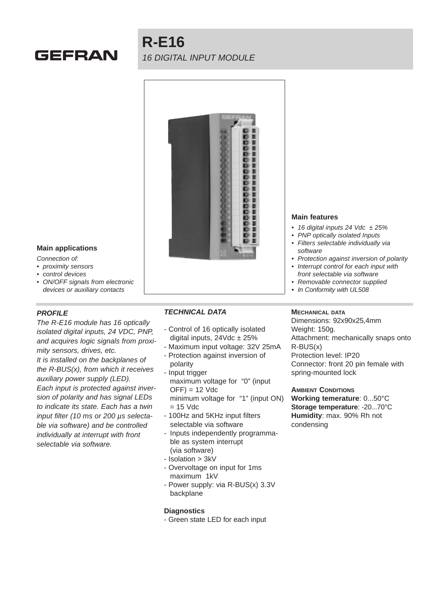# **GEFRAN**

# **R-E16** 16 DIGITAL INPUT MODULE



# **Main applications**

Connection of:

- proximity sensors
- control devices
- ON/OFF signals from electronic devices or auxiliary contacts

## **PROFILE**

The R-E16 module has 16 optically isolated digital inputs, 24 VDC, PNP, and acquires logic signals from proximity sensors, drives, etc. It is installed on the backplanes of the R-BUS(x), from which it receives auxiliary power supply (LED). Each input is protected against inversion of polarity and has signal LEDs to indicate its state. Each has a twin input filter (10 ms or 200 µs selectable via software) and be controlled individually at interrupt with front selectable via software.

## **TECHNICAL DATA**

- Control of 16 optically isolated digital inputs,  $24 \text{Vdc} \pm 25\%$
- Maximum input voltage: 32V 25mA
- Protection against inversion of polarity
- Input trigger maximum voltage for "0" (input  $OFF$ ) = 12 Vdc minimum voltage for "1" (input ON)  $= 15$  Vdc
- 100Hz and 5KHz input filters selectable via software
- Inputs independently programmable as system interrupt (via software)
- Isolation > 3kV
- Overvoltage on input for 1ms maximum 1kV
- Power supply: via R-BUS(x) 3.3V backplane

#### **Diagnostics**

- Green state LED for each input

#### **Main features**

- 16 digital inputs 24 Vdc  $\pm 25\%$
- PNP optically isolated Inputs
- Filters selectable individually via software
- Protection against inversion of polarity
- Interrupt control for each input with front selectable via software
- Removable connector supplied
- **•** In Conformity with UL508

# **MECHANICAL DATA**

Dimensions: 92x90x25,4mm Weight: 150g. Attachment: mechanically snaps onto R-BUS(x) Protection level: IP20 Connector: front 20 pin female with spring-mounted lock

#### **AMBIENT CONDITIONS**

**Working temerature**: 0...50°C **Storage temperature**: -20...70°C **Humidity**: max. 90% Rh not condensing